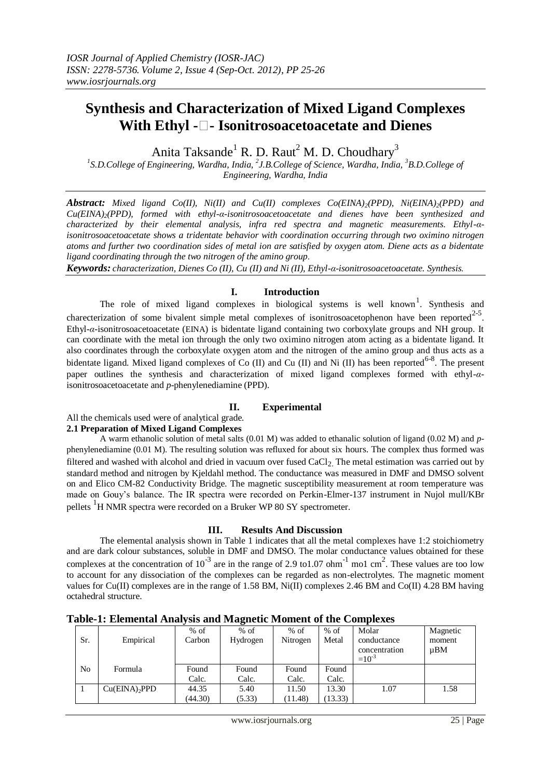# **Synthesis and Characterization of Mixed Ligand Complexes With Ethyl - - Isonitrosoacetoacetate and Dienes**

Anita Taksande<sup>1</sup> R. D. Raut<sup>2</sup> M. D. Choudhary<sup>3</sup>

<sup>1</sup>S.D.College of Engineering, Wardha, India, <sup>2</sup>J.B.College of Science, Wardha, India, <sup>3</sup>B.D.College of *Engineering, Wardha, India*

*Abstract: Mixed ligand Co(II), Ni(II) and Cu(II) complexes Co(EINA)2(PPD), Ni(EINA)2(PPD) and Cu(EINA)2(PPD), formed with ethyl-α-isonitrosoacetoacetate and dienes have been synthesized and characterized by their elemental analysis, infra red spectra and magnetic measurements. Ethyl-αisonitrosoacetoacetate shows a tridentate behavior with coordination occurring through two oximino nitrogen atoms and further two coordination sides of metal ion are satisfied by oxygen atom. Diene acts as a bidentate ligand coordinating through the two nitrogen of the amino group.*

*Keywords: characterization, Dienes Co (II), Cu (II) and Ni (II), Ethyl-α-isonitrosoacetoacetate. Synthesis.*

## **I. Introduction**

The role of mixed ligand complexes in biological systems is well known<sup>1</sup>. Synthesis and charecterization of some bivalent simple metal complexes of isonitrosoacetophenon have been reported $2-5$ . Ethyl-*α*-isonitrosoacetoacetate (EINA) is bidentate ligand containing two corboxylate groups and NH group. It can coordinate with the metal ion through the only two oximino nitrogen atom acting as a bidentate ligand. It also coordinates through the corboxylate oxygen atom and the nitrogen of the amino group and thus acts as a bidentate ligand. Mixed ligand complexes of Co (II) and Cu (II) and Ni (II) has been reported  $6-8$ . The present paper outlines the synthesis and characterization of mixed ligand complexes formed with ethyl-*α*isonitrosoacetoacetate and *p*-phenylenediamine (PPD).

## **II. Experimental**

All the chemicals used were of analytical grade. **2.1 Preparation of Mixed Ligand Complexes**

A warm ethanolic solution of metal salts (0.01 M) was added to ethanalic solution of ligand (0.02 M) and *p*phenylenediamine (0.01 M). The resulting solution was refluxed for about six hours. The complex thus formed was filtered and washed with alcohol and dried in vacuum over fused  $CaCl<sub>2</sub>$ . The metal estimation was carried out by standard method and nitrogen by Kjeldahl method. The conductance was measured in DMF and DMSO solvent on and Elico CM-82 Conductivity Bridge. The magnetic susceptibility measurement at room temperature was made on Gouy's balance. The IR spectra were recorded on Perkin-Elmer-137 instrument in Nujol mull/KBr pellets <sup>1</sup>H NMR spectra were recorded on a Bruker WP 80 SY spectrometer.

## **III. Results And Discussion**

The elemental analysis shown in Table 1 indicates that all the metal complexes have 1:2 stoichiometry and are dark colour substances, soluble in DMF and DMSO. The molar conductance values obtained for these complexes at the concentration of  $10^{-3}$  are in the range of 2.9 to1.07 ohm<sup>-1</sup> mo1 cm<sup>2</sup>. These values are too low to account for any dissociation of the complexes can be regarded as non-electrolytes. The magnetic moment values for Cu(II) complexes are in the range of 1.58 BM, Ni(II) complexes 2.46 BM and Co(II) 4.28 BM having octahedral structure.

| Sr.            | Empirical        | $%$ of<br>Carbon | $\overline{\phantom{a}}$<br>$%$ of<br>Hydrogen | $%$ of<br>Nitrogen | $%$ of<br>Metal | Molar<br>conductance<br>concentration<br>$=10^{-3}$ | Magnetic<br>moment<br>$\mu$ BM |
|----------------|------------------|------------------|------------------------------------------------|--------------------|-----------------|-----------------------------------------------------|--------------------------------|
| N <sub>o</sub> | Formula          | Found            | Found                                          | Found              | Found           |                                                     |                                |
|                |                  | Calc.            | Calc.                                          | Calc.              | Calc.           |                                                     |                                |
|                | $Cu(EINA)$ , PPD | 44.35            | 5.40                                           | 11.50              | 13.30           | 1.07                                                | 1.58                           |
|                |                  | (44.30)          | (5.33)                                         | (11.48)            | (13.33)         |                                                     |                                |

**Table-1: Elemental Analysis and Magnetic Moment of the Complexes**